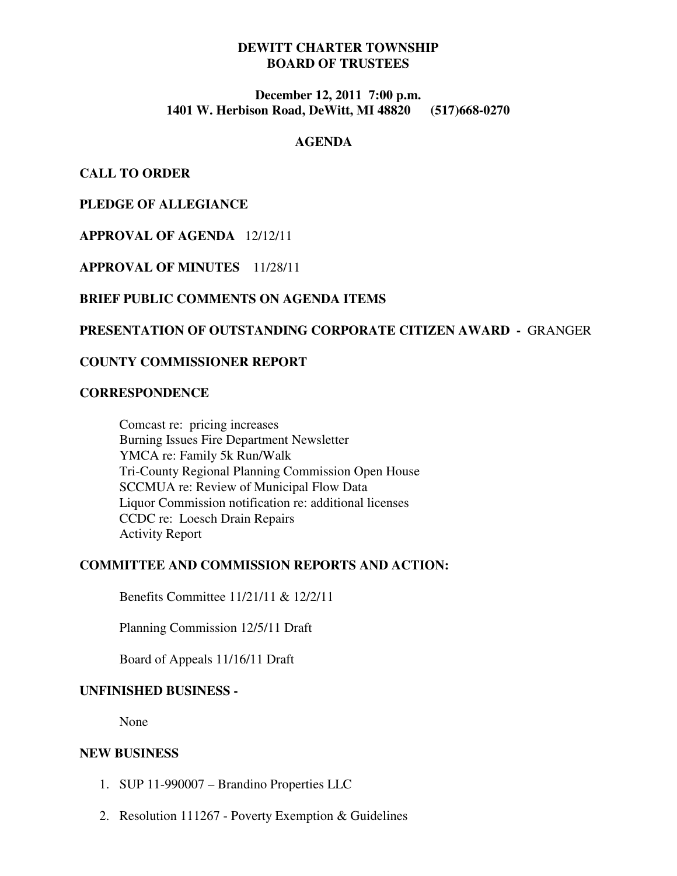# **DEWITT CHARTER TOWNSHIP BOARD OF TRUSTEES**

## **December 12, 2011 7:00 p.m. 1401 W. Herbison Road, DeWitt, MI 48820 (517)668-0270**

### **AGENDA**

**CALL TO ORDER** 

**PLEDGE OF ALLEGIANCE** 

**APPROVAL OF AGENDA** 12/12/11

**APPROVAL OF MINUTES** 11/28/11

# **BRIEF PUBLIC COMMENTS ON AGENDA ITEMS**

# **PRESENTATION OF OUTSTANDING CORPORATE CITIZEN AWARD -** GRANGER

# **COUNTY COMMISSIONER REPORT**

### **CORRESPONDENCE**

 Comcast re: pricing increases Burning Issues Fire Department Newsletter YMCA re: Family 5k Run/Walk Tri-County Regional Planning Commission Open House SCCMUA re: Review of Municipal Flow Data Liquor Commission notification re: additional licenses CCDC re: Loesch Drain Repairs Activity Report

### **COMMITTEE AND COMMISSION REPORTS AND ACTION:**

Benefits Committee 11/21/11 & 12/2/11

Planning Commission 12/5/11 Draft

Board of Appeals 11/16/11 Draft

### **UNFINISHED BUSINESS -**

None

#### **NEW BUSINESS**

- 1. SUP 11-990007 Brandino Properties LLC
- 2. Resolution 111267 Poverty Exemption & Guidelines